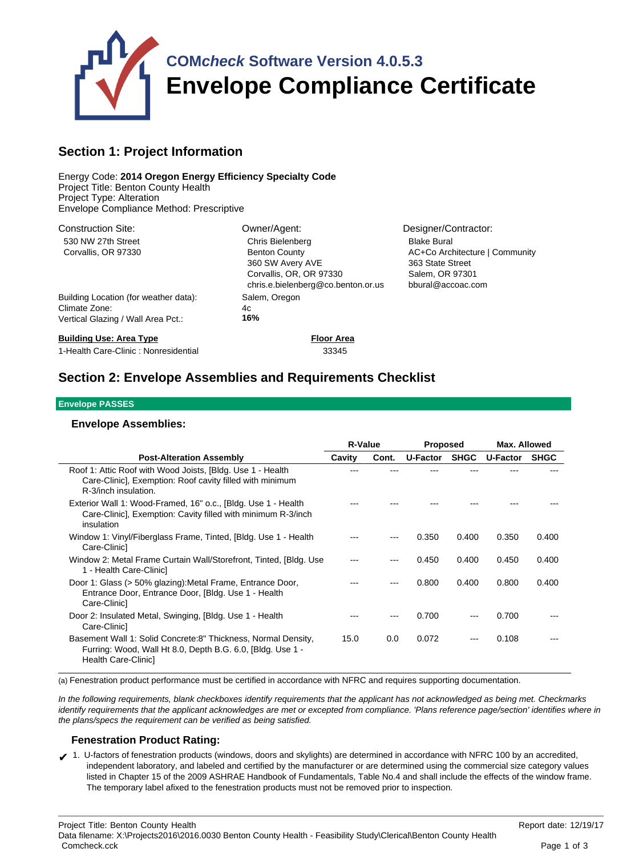

## **Section 1: Project Information**

Energy Code: **2014 Oregon Energy Efficiency Specialty Code** Project Title: Benton County Health Project Type: Alteration Envelope Compliance Method: Prescriptive

| <b>Construction Site:</b>             | Owner/Agent:                                                                                              | Designer/Contractor:                                                                       |
|---------------------------------------|-----------------------------------------------------------------------------------------------------------|--------------------------------------------------------------------------------------------|
| 530 NW 27th Street                    | Chris Bielenberg                                                                                          | <b>Blake Bural</b>                                                                         |
| Corvallis, OR 97330                   | <b>Benton County</b><br>360 SW Avery AVE<br>Corvallis, OR, OR 97330<br>chris.e.bielenberg@co.benton.or.us | AC+Co Architecture   Community<br>363 State Street<br>Salem, OR 97301<br>bbural@accoac.com |
| Building Location (for weather data): | Salem, Oregon                                                                                             |                                                                                            |
| Climate Zone:                         | 4c                                                                                                        |                                                                                            |
| Vertical Glazing / Wall Area Pct.:    | 16%                                                                                                       |                                                                                            |
| <b>Building Use: Area Type</b>        | <b>Floor Area</b>                                                                                         |                                                                                            |

1-Health Care-Clinic : Nonresidential 33345

# **Section 2: Envelope Assemblies and Requirements Checklist**

#### **Envelope PASSES**

### **Envelope Assemblies:**

|                                                                                                                                                    | <b>R-Value</b> |       | <b>Proposed</b> |             | Max. Allowed |             |
|----------------------------------------------------------------------------------------------------------------------------------------------------|----------------|-------|-----------------|-------------|--------------|-------------|
| <b>Post-Alteration Assembly</b>                                                                                                                    | Cavity         | Cont. | U-Factor        | <b>SHGC</b> | U-Factor     | <b>SHGC</b> |
| Roof 1: Attic Roof with Wood Joists, [Bldg. Use 1 - Health<br>Care-Clinic], Exemption: Roof cavity filled with minimum<br>R-3/inch insulation.     |                |       |                 |             |              |             |
| Exterior Wall 1: Wood-Framed, 16" o.c., [Bldg. Use 1 - Health<br>Care-Clinic], Exemption: Cavity filled with minimum R-3/inch<br>insulation        |                |       |                 |             |              |             |
| Window 1: Vinyl/Fiberglass Frame, Tinted, [Bldg. Use 1 - Health<br>Care-Clinic]                                                                    |                |       | 0.350           | 0.400       | 0.350        | 0.400       |
| Window 2: Metal Frame Curtain Wall/Storefront, Tinted, [Bldg. Use]<br>1 - Health Care-Clinic]                                                      |                |       | 0.450           | 0.400       | 0.450        | 0.400       |
| Door 1: Glass (> 50% glazing): Metal Frame, Entrance Door,<br>Entrance Door, Entrance Door, [Bldg. Use 1 - Health<br>Care-Clinic]                  |                |       | 0.800           | 0.400       | 0.800        | 0.400       |
| Door 2: Insulated Metal, Swinging, [Bldg. Use 1 - Health<br>Care-Clinic]                                                                           |                |       | 0.700           |             | 0.700        |             |
| Basement Wall 1: Solid Concrete:8" Thickness, Normal Density,<br>Furring: Wood, Wall Ht 8.0, Depth B.G. 6.0, [Bldg. Use 1 -<br>Health Care-Clinic] | 15.0           | 0.0   | 0.072           |             | 0.108        |             |

(a) Fenestration product performance must be certified in accordance with NFRC and requires supporting documentation.

In the following requirements, blank checkboxes identify requirements that the applicant has not acknowledged as being met. Checkmarks identify requirements that the applicant acknowledges are met or excepted from compliance. 'Plans reference page/section' identifies where in the plans/specs the requirement can be verified as being satisfied.

### **Fenestration Product Rating:**

✔ 1. U-factors of fenestration products (windows, doors and skylights) are determined in accordance with NFRC 100 by an accredited, independent laboratory, and labeled and certified by the manufacturer or are determined using the commercial size category values listed in Chapter 15 of the 2009 ASHRAE Handbook of Fundamentals, Table No.4 and shall include the effects of the window frame. The temporary label afixed to the fenestration products must not be removed prior to inspection.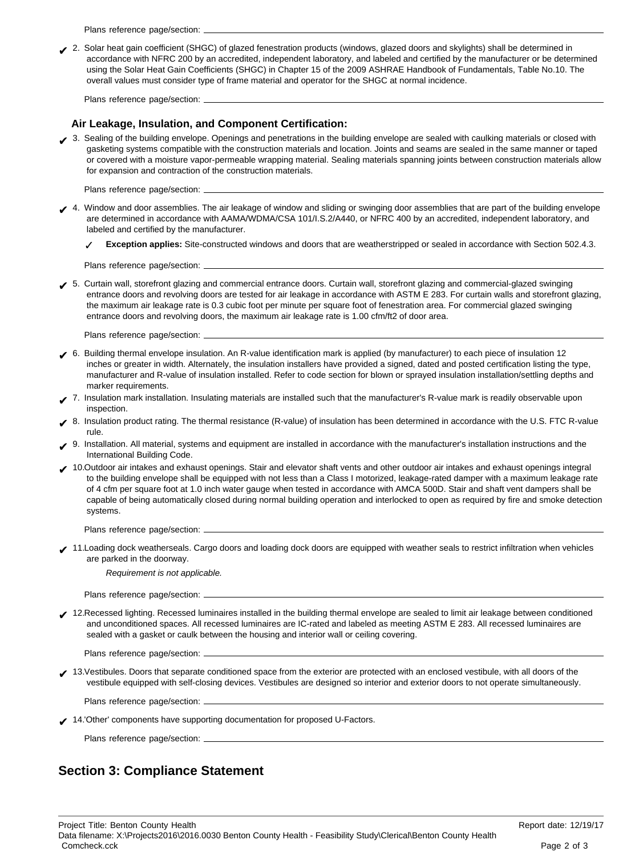Plans reference page/section:

✔ 2. Solar heat gain coefficient (SHGC) of glazed fenestration products (windows, glazed doors and skylights) shall be determined in accordance with NFRC 200 by an accredited, independent laboratory, and labeled and certified by the manufacturer or be determined using the Solar Heat Gain Coefficients (SHGC) in Chapter 15 of the 2009 ASHRAE Handbook of Fundamentals, Table No.10. The overall values must consider type of frame material and operator for the SHGC at normal incidence.

Plans reference page/section:

### **Air Leakage, Insulation, and Component Certification:**

3. Sealing of the building envelope. Openings and penetrations in the building envelope are sealed with caulking materials or closed with gasketing systems compatible with the construction materials and location. Joints and seams are sealed in the same manner or taped or covered with a moisture vapor-permeable wrapping material. Sealing materials spanning joints between construction materials allow for expansion and contraction of the construction materials.

Plans reference page/section: .

- ↓ 4. Window and door assemblies. The air leakage of window and sliding or swinging door assemblies that are part of the building envelope are determined in accordance with AAMA/WDMA/CSA 101/I.S.2/A440, or NFRC 400 by an accredited, independent laboratory, and labeled and certified by the manufacturer.
	- ✓ **Exception applies:** Site-constructed windows and doors that are weatherstripped or sealed in accordance with Section 502.4.3.

Plans reference page/section:

✔ 5. Curtain wall, storefront glazing and commercial entrance doors. Curtain wall, storefront glazing and commercial-glazed swinging entrance doors and revolving doors are tested for air leakage in accordance with ASTM E 283. For curtain walls and storefront glazing, the maximum air leakage rate is 0.3 cubic foot per minute per square foot of fenestration area. For commercial glazed swinging entrance doors and revolving doors, the maximum air leakage rate is 1.00 cfm/ft2 of door area.

Plans reference page/section:

- ✔ 6. Building thermal envelope insulation. An R-value identification mark is applied (by manufacturer) to each piece of insulation 12 inches or greater in width. Alternately, the insulation installers have provided a signed, dated and posted certification listing the type, manufacturer and R-value of insulation installed. Refer to code section for blown or sprayed insulation installation/settling depths and marker requirements.
- ✔ 7. Insulation mark installation. Insulating materials are installed such that the manufacturer's R-value mark is readily observable upon inspection.
- 8. Insulation product rating. The thermal resistance (R-value) of insulation has been determined in accordance with the U.S. FTC R-value rule.
- ✔ 9. Installation. All material, systems and equipment are installed in accordance with the manufacturer's installation instructions and the International Building Code.
- ◆ 10.Outdoor air intakes and exhaust openings. Stair and elevator shaft vents and other outdoor air intakes and exhaust openings integral to the building envelope shall be equipped with not less than a Class I motorized, leakage-rated damper with a maximum leakage rate of 4 cfm per square foot at 1.0 inch water gauge when tested in accordance with AMCA 500D. Stair and shaft vent dampers shall be capable of being automatically closed during normal building operation and interlocked to open as required by fire and smoke detection systems.

Plans reference page/section:

✔ 11.Loading dock weatherseals. Cargo doors and loading dock doors are equipped with weather seals to restrict infiltration when vehicles are parked in the doorway.

Requirement is not applicable.

Plans reference page/section:

✔ 12.Recessed lighting. Recessed luminaires installed in the building thermal envelope are sealed to limit air leakage between conditioned and unconditioned spaces. All recessed luminaires are IC-rated and labeled as meeting ASTM E 283. All recessed luminaires are sealed with a gasket or caulk between the housing and interior wall or ceiling covering.

Plans reference page/section: .

✔ 13.Vestibules. Doors that separate conditioned space from the exterior are protected with an enclosed vestibule, with all doors of the vestibule equipped with self-closing devices. Vestibules are designed so interior and exterior doors to not operate simultaneously.

Plans reference page/section:

✔ 14.'Other' components have supporting documentation for proposed U-Factors.

Plans reference page/section: \_

## **Section 3: Compliance Statement**